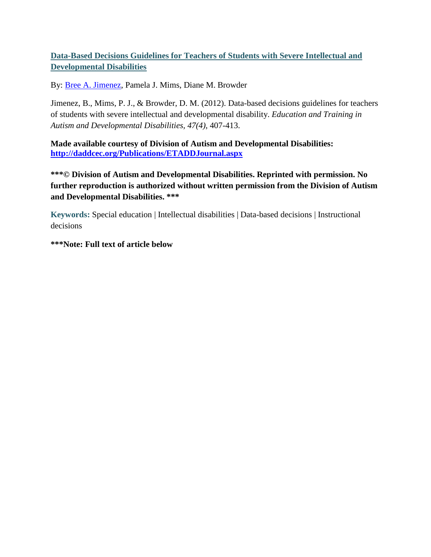## **Data-Based Decisions Guidelines for Teachers of Students with Severe Intellectual and Developmental Disabilities**

By: [Bree A. Jimenez,](http://libres.uncg.edu/ir/uncg/clist.aspx?id=8918) Pamela J. Mims, Diane M. Browder

Jimenez, B., Mims, P. J., & Browder, D. M. (2012). Data-based decisions guidelines for teachers of students with severe intellectual and developmental disability. *Education and Training in Autism and Developmental Disabilities, 47(4),* 407-413.

**Made available courtesy of Division of Autism and Developmental Disabilities: <http://daddcec.org/Publications/ETADDJournal.aspx>**

**\*\*\*© Division of Autism and Developmental Disabilities. Reprinted with permission. No further reproduction is authorized without written permission from the Division of Autism and Developmental Disabilities. \*\*\***

**Keywords:** Special education | Intellectual disabilities | Data-based decisions | Instructional decisions

**\*\*\*Note: Full text of article below**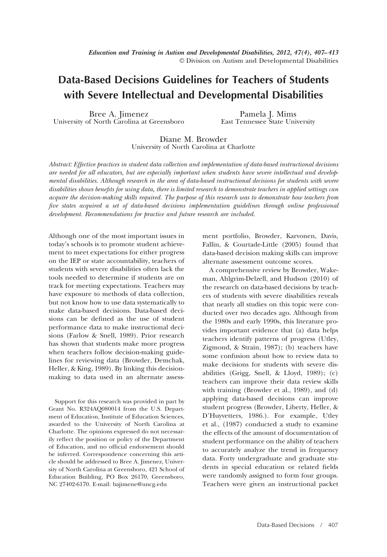# **Data-Based Decisions Guidelines for Teachers of Students with Severe Intellectual and Developmental Disabilities**

Bree A. Jimenez University of North Carolina at Greensboro

Pamela J. Mims East Tennessee State University

Diane M. Browder University of North Carolina at Charlotte

*Abstract: Effective practices in student data collection and implementation of data-based instructional decisions are needed for all educators, but are especially important when students have severe intellectual and developmental disabilities. Although research in the area of data-based instructional decisions for students with severe disabilities shows benefits for using data, there is limited research to demonstrate teachers in applied settings can acquire the decision-making skills required. The purpose of this research was to demonstrate how teachers from five states acquired a set of data-based decisions implementation guidelines through online professional development. Recommendations for practice and future research are included.*

Although one of the most important issues in today's schools is to promote student achievement to meet expectations for either progress on the IEP or state accountability, teachers of students with severe disabilities often lack the tools needed to determine if students are on track for meeting expectations. Teachers may have exposure to methods of data collection, but not know how to use data systematically to make data-based decisions. Data-based decisions can be defined as the use of student performance data to make instructional decisions (Farlow & Snell, 1989). Prior research has shown that students make more progress when teachers follow decision-making guidelines for reviewing data (Browder, Demchak, Heller, & King, 1989). By linking this decisionmaking to data used in an alternate assess-

Support for this research was provided in part by Grant No. R324AQ080014 from the U.S. Department of Education, Institute of Education Sciences, awarded to the University of North Carolina at Charlotte. The opinions expressed do not necessarily reflect the position or policy of the Department of Education, and no official endorsement should be inferred. Correspondence concerning this article should be addressed to Bree A. Jimenez, University of North Carolina at Greensboro, 421 School of Education Building, PO Box 26170, Greensboro, NC 27402-6170. E-mail: bajimene@uncg.edu

ment portfolio, Browder, Karvonen, Davis, Fallin, & Courtade-Little (2005) found that data-based decision making skills can improve alternate assessment outcome scores.

A comprehensive review by Browder, Wakeman, Ahlgrim-Delzell, and Hudson (2010) of the research on data-based decisions by teachers of students with severe disabilities reveals that nearly all studies on this topic were conducted over two decades ago. Although from the 1980s and early 1990s, this literature provides important evidence that (a) data helps teachers identify patterns of progress (Utley, Zigmond, & Strain, 1987); (b) teachers have some confusion about how to review data to make decisions for students with severe disabilities (Grigg, Snell, & Lloyd, 1989); (c) teachers can improve their data review skills with training (Browder et al., 1989), and (d) applying data-based decisions can improve student progress (Browder, Liberty, Heller, & D'Huyvetters, 1986.). For example, Utley et al., (1987) conducted a study to examine the effects of the amount of documentation of student performance on the ability of teachers to accurately analyze the trend in frequency data. Forty undergraduate and graduate students in special education or related fields were randomly assigned to form four groups. Teachers were given an instructional packet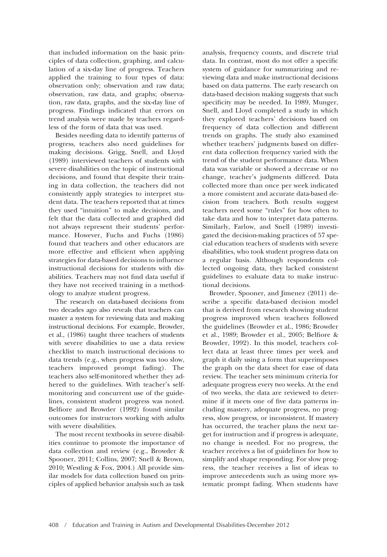that included information on the basic principles of data collection, graphing, and calculation of a six-day line of progress. Teachers applied the training to four types of data: observation only; observation and raw data; observation, raw data, and graphs; observation, raw data, graphs, and the six-day line of progress. Findings indicated that errors on trend analysis were made by teachers regardless of the form of data that was used.

Besides needing data to identify patterns of progress, teachers also need guidelines for making decisions. Grigg, Snell, and Lloyd (1989) interviewed teachers of students with severe disabilities on the topic of instructional decisions, and found that despite their training in data collection, the teachers did not consistently apply strategies to interpret student data. The teachers reported that at times they used "intuition" to make decisions, and felt that the data collected and graphed did not always represent their students' performance. However, Fuchs and Fuchs (1986) found that teachers and other educators are more effective and efficient when applying strategies for data-based decisions to influence instructional decisions for students with disabilities. Teachers may not find data useful if they have not received training in a methodology to analyze student progress.

The research on data-based decisions from two decades ago also reveals that teachers can master a system for reviewing data and making instructional decisions. For example, Browder, et al., (1986) taught three teachers of students with severe disabilities to use a data review checklist to match instructional decisions to data trends (e.g., when progress was too slow, teachers improved prompt fading). The teachers also self-monitored whether they adhered to the guidelines. With teacher's selfmonitoring and concurrent use of the guidelines, consistent student progress was noted. Belfiore and Browder (1992) found similar outcomes for instructors working with adults with severe disabilities.

The most recent textbooks in severe disabilities continue to promote the importance of data collection and review (e.g., Browder & Spooner, 2011; Collins, 2007; Snell & Brown, 2010; Westling & Fox, 2004.) All provide similar models for data collection based on principles of applied behavior analysis such as task analysis, frequency counts, and discrete trial data. In contrast, most do not offer a specific system of guidance for summarizing and reviewing data and make instructional decisions based on data patterns. The early research on data-based decision making suggests that such specificity may be needed. In 1989, Munger, Snell, and Lloyd completed a study in which they explored teachers' decisions based on frequency of data collection and different trends on graphs. The study also examined whether teachers' judgments based on different data collection frequency varied with the trend of the student performance data. When data was variable or showed a decrease or no change, teacher's judgments differed. Data collected more than once per week indicated a more consistent and accurate data-based decision from teachers. Both results suggest teachers need some "rules" for how often to take data and how to interpret data patterns. Similarly, Farlow, and Snell (1989) investigated the decision-making practices of 57 special education teachers of students with severe disabilities, who took student progress data on a regular basis. Although respondents collected ongoing data, they lacked consistent guidelines to evaluate data to make instructional decisions.

Browder, Spooner, and Jimenez (2011) describe a specific data-based decision model that is derived from research showing student progress improved when teachers followed the guidelines (Browder et al., 1986; Browder et al., 1989; Browder et al., 2005; Belfiore & Browder, 1992). In this model, teachers collect data at least three times per week and graph it daily using a form that superimposes the graph on the data sheet for ease of data review. The teacher sets minimum criteria for adequate progress every two weeks. At the end of two weeks, the data are reviewed to determine if it meets one of five data patterns including mastery, adequate progress, no progress, slow progress, or inconsistent. If mastery has occurred, the teacher plans the next target for instruction and if progress is adequate, no change is needed. For no progress, the teacher receives a list of guidelines for how to simplify and shape responding. For slow progress, the teacher receives a list of ideas to improve antecedents such as using more systematic prompt fading. When students have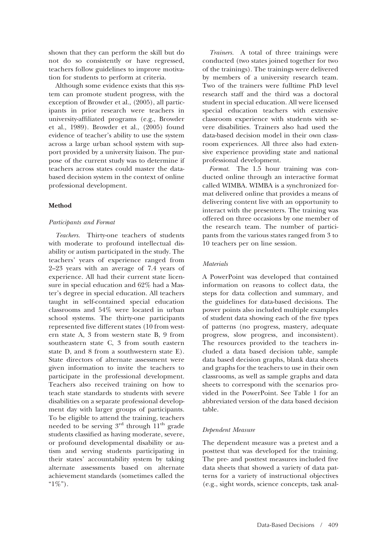shown that they can perform the skill but do not do so consistently or have regressed, teachers follow guidelines to improve motivation for students to perform at criteria.

Although some evidence exists that this system can promote student progress, with the exception of Browder et al., (2005), all participants in prior research were teachers in university-affiliated programs (e.g., Browder et al., 1989). Browder et al., (2005) found evidence of teacher's ability to use the system across a large urban school system with support provided by a university liaison. The purpose of the current study was to determine if teachers across states could master the databased decision system in the context of online professional development.

#### **Method**

#### *Participants and Format*

*Teachers.* Thirty-one teachers of students with moderate to profound intellectual disability or autism participated in the study. The teachers' years of experience ranged from 2–23 years with an average of 7.4 years of experience. All had their current state licensure in special education and 62% had a Master's degree in special education. All teachers taught in self-contained special education classrooms and 54% were located in urban school systems. The thirty-one participants represented five different states (10 from western state A, 3 from western state B, 9 from southeastern state C, 3 from south eastern state D, and 8 from a southwestern state E). State directors of alternate assessment were given information to invite the teachers to participate in the professional development. Teachers also received training on how to teach state standards to students with severe disabilities on a separate professional development day with larger groups of participants. To be eligible to attend the training, teachers needed to be serving  $3<sup>rd</sup>$  through  $11<sup>th</sup>$  grade students classified as having moderate, severe, or profound developmental disability or autism and serving students participating in their states' accountability system by taking alternate assessments based on alternate achievement standards (sometimes called the " $1\%$ ").

*Trainers.* A total of three trainings were conducted (two states joined together for two of the trainings). The trainings were delivered by members of a university research team. Two of the trainers were fulltime PhD level research staff and the third was a doctoral student in special education. All were licensed special education teachers with extensive classroom experience with students with severe disabilities. Trainers also had used the data-based decision model in their own classroom experiences. All three also had extensive experience providing state and national professional development.

*Format.* The 1.5 hour training was conducted online through an interactive format called WIMBA. WIMBA is a synchronized format delivered online that provides a means of delivering content live with an opportunity to interact with the presenters. The training was offered on three occasions by one member of the research team. The number of participants from the various states ranged from 3 to 10 teachers per on line session.

## *Materials*

A PowerPoint was developed that contained information on reasons to collect data, the steps for data collection and summary, and the guidelines for data-based decisions. The power points also included multiple examples of student data showing each of the five types of patterns (no progress, mastery, adequate progress, slow progress, and inconsistent). The resources provided to the teachers included a data based decision table, sample data based decision graphs, blank data sheets and graphs for the teachers to use in their own classrooms, as well as sample graphs and data sheets to correspond with the scenarios provided in the PowerPoint. See Table 1 for an abbreviated version of the data based decision table.

#### *Dependent Measure*

The dependent measure was a pretest and a posttest that was developed for the training. The pre- and posttest measures included five data sheets that showed a variety of data patterns for a variety of instructional objectives (e.g., sight words, science concepts, task anal-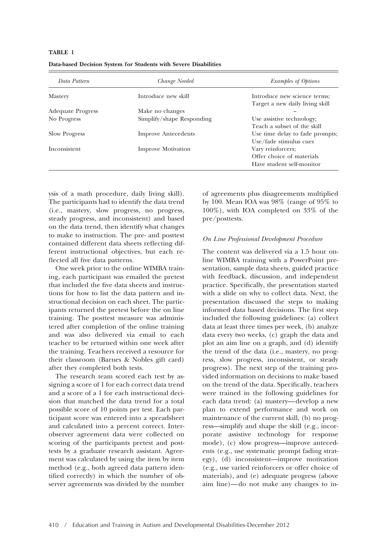### **TABLE 1**

| Data Pattern         | Change Needed              | Examples of Options                                                         |  |  |
|----------------------|----------------------------|-----------------------------------------------------------------------------|--|--|
| <b>Mastery</b>       | Introduce new skill        | Introduce new science terms;<br>Target a new daily living skill             |  |  |
| Adequate Progress    | Make no changes            |                                                                             |  |  |
| No Progress          | Simplify/shape Responding  | Use assistive technology;<br>Teach a subset of the skill                    |  |  |
| <b>Slow Progress</b> | <b>Improve Antecedents</b> | Use time delay to fade prompts;<br>Use/fade stimulus cues                   |  |  |
| Inconsistent         | <b>Improve Motivation</b>  | Vary reinforcers;<br>Offer choice of materials<br>Have student self-monitor |  |  |

|  |  |  |  |  |  |  | Data-based Decision System for Students with Severe Disabilities |
|--|--|--|--|--|--|--|------------------------------------------------------------------|
|--|--|--|--|--|--|--|------------------------------------------------------------------|

ysis of a math procedure, daily living skill). The participants had to identify the data trend (i.e., mastery, slow progress, no progress, steady progress, and inconsistent) and based on the data trend, then identify what changes to make to instruction. The pre- and posttest contained different data sheets reflecting different instructional objectives, but each reflected all five data patterns.

One week prior to the online WIMBA training, each participant was emailed the pretest that included the five data sheets and instructions for how to list the data pattern and instructional decision on each sheet. The participants returned the pretest before the on line training. The posttest measure was administered after completion of the online training and was also delivered via email to each teacher to be returned within one week after the training. Teachers received a resource for their classroom (Barnes & Nobles gift card) after they completed both tests.

The research team scored each test by assigning a score of 1 for each correct data trend and a score of a 1 for each instructional decision that matched the data trend for a total possible score of 10 points per test. Each participant score was entered into a spreadsheet and calculated into a percent correct. Interobserver agreement data were collected on scoring of the participants pretest and posttests by a graduate research assistant. Agreement was calculated by using the item by item method (e.g., both agreed data pattern identified correctly) in which the number of observer agreements was divided by the number of agreements plus disagreements multiplied by 100. Mean IOA was 98% (range of 95% to 100%), with IOA completed on 33% of the pre/posttests.

#### *On Line Professional Development Procedure*

The content was delivered via a 1.5 hour online WIMBA training with a PowerPoint presentation, sample data sheets, guided practice with feedback, discussion, and independent practice. Specifically, the presentation started with a slide on why to collect data. Next, the presentation discussed the steps to making informed data based decisions. The first step included the following guidelines: (a) collect data at least three times per week, (b) analyze data every two weeks, (c) graph the data and plot an aim line on a graph, and (d) identify the trend of the data (i.e., mastery, no progress, slow progress, inconsistent, or steady progress). The next step of the training provided information on decisions to make based on the trend of the data. Specifically, teachers were trained in the following guidelines for each data trend: (a) mastery—develop a new plan to extend performance and work on maintenance of the current skill, (b) no progress—simplify and shape the skill (e.g., incorporate assistive technology for response mode), (c) slow progress—improve antecedents (e.g., use systematic prompt fading strategy), (d) inconsistent—improve motivation (e.g., use varied reinforcers or offer choice of materials), and (e) adequate progress (above aim line)—do not make any changes to in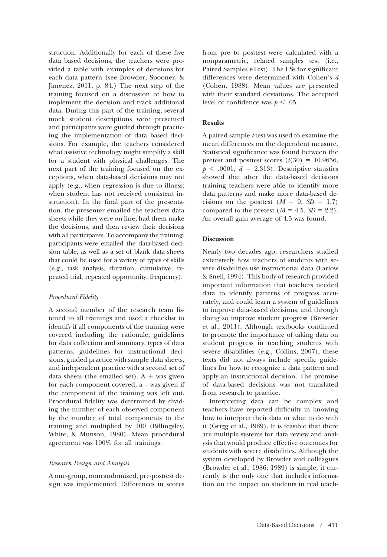struction. Additionally for each of these five data based decisions, the teachers were provided a table with examples of decisions for each data pattern (see Browder, Spooner, & Jimenez, 2011, p. 84.) The next step of the training focused on a discussion of how to implement the decision and track additional data. During this part of the training, several mock student descriptions were presented and participants were guided through practicing the implementation of data based decisions. For example, the teachers considered what assistive technology might simplify a skill for a student with physical challenges. The next part of the training focused on the exceptions, when data-based decisions may not apply (e.g., when regression is due to illness; when student has not received consistent instruction). In the final part of the presentation, the presenter emailed the teachers data sheets while they were on line, had them make the decisions, and then review their decisions with all participants. To accompany the training, participants were emailed the data-based decision table, as well as a set of blank data sheets that could be used for a variety of types of skills (e.g., task analysis, duration, cumulative, repeated trial, repeated opportunity, frequency).

## *Procedural Fidelity*

A second member of the research team listened to all trainings and used a checklist to identify if all components of the training were covered including the rationale, guidelines for data collection and summary, types of data patterns, guidelines for instructional decisions, guided practice with sample data sheets, and independent practice with a second set of data sheets (the emailed set).  $A + was given$ for each component covered, a – was given if the component of the training was left out. Procedural fidelity was determined by dividing the number of each observed component by the number of total components to the training and multiplied by 100 (Billingsley, White, & Munson, 1980). Mean procedural agreement was 100% for all trainings.

#### *Research Design and Analysis*

A one-group, nonrandomized, pre-posttest design was implemented. Differences in scores from pre to posttest were calculated with a nonparametric, related samples test (i.e., Paired Samples *t*-Test). The ESs for significant differences were determined with Cohen's *d* (Cohen, 1988). Mean values are presented with their standard deviations. The accepted level of confidence was  $p < .05$ .

#### **Results**

A paired sample *t*-test was used to examine the mean differences on the dependent measure. Statistical significance was found between the pretest and posttest scores  $(t(30) = 10.9656,$  $p \leq 0.0001$ ,  $d = 2.313$ ). Descriptive statistics showed that after the data-based decisions training teachers were able to identify more data patterns and make more data-based decisions on the posttest  $(M = 9, SD = 1.7)$ compared to the pretest  $(M = 4.5, SD = 2.2)$ . An overall gain average of 4.5 was found.

#### **Discussion**

Nearly two decades ago, researchers studied extensively how teachers of students with severe disabilities use instructional data (Farlow & Snell, 1994). This body of research provided important information that teachers needed data to identify patterns of progress accurately, and could learn a system of guidelines to improve data-based decisions, and through doing so improve student progress (Browder et al., 2011). Although textbooks continued to promote the importance of taking data on student progress in teaching students with severe disabilities (e.g., Collins, 2007), these texts did not always include specific guidelines for how to recognize a data pattern and apply an instructional decision. The promise of data-based decisions was not translated from research to practice.

Interpreting data can be complex and teachers have reported difficulty in knowing how to interpret their data or what to do with it (Grigg et al., 1989). It is feasible that there are multiple systems for data review and analysis that would produce effective outcomes for students with severe disabilities. Although the system developed by Browder and colleagues (Browder et al., 1986; 1989) is simple, it currently is the only one that includes information on the impact on students in real teach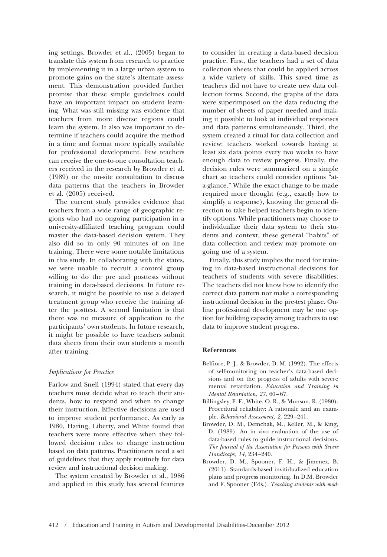ing settings. Browder et al., (2005) began to translate this system from research to practice by implementing it in a large urban system to promote gains on the state's alternate assessment. This demonstration provided further promise that these simple guidelines could have an important impact on student learning. What was still missing was evidence that teachers from more diverse regions could learn the system. It also was important to determine if teachers could acquire the method in a time and format more typically available for professional development. Few teachers can receive the one-to-one consultation teachers received in the research by Browder et al. (1989) or the on-site consultation to discuss data patterns that the teachers in Browder et al. (2005) received.

The current study provides evidence that teachers from a wide range of geographic regions who had no ongoing participation in a university-affiliated teaching program could master the data-based decision system. They also did so in only 90 minutes of on line training. There were some notable limitations in this study. In collaborating with the states, we were unable to recruit a control group willing to do the pre and posttests without training in data-based decisions. In future research, it might be possible to use a delayed treatment group who receive the training after the posttest. A second limitation is that there was no measure of application to the participants' own students. In future research, it might be possible to have teachers submit data sheets from their own students a month after training.

#### *Implications for Practice*

Farlow and Snell (1994) stated that every day teachers must decide what to teach their students, how to respond and when to change their instruction. Effective decisions are used to improve student performance. As early as 1980, Haring, Liberty, and White found that teachers were more effective when they followed decision rules to change instruction based on data patterns. Practitioners need a set of guidelines that they apply routinely for data review and instructional decision making.

The system created by Browder et al., 1986 and applied in this study has several features to consider in creating a data-based decision practice. First, the teachers had a set of data collection sheets that could be applied across a wide variety of skills. This saved time as teachers did not have to create new data collection forms. Second, the graphs of the data were superimposed on the data reducing the number of sheets of paper needed and making it possible to look at individual responses and data patterns simultaneously. Third, the system created a ritual for data collection and review; teachers worked towards having at least six data points every two weeks to have enough data to review progress. Finally, the decision rules were summarized on a simple chart so teachers could consider options "ata-glance." While the exact change to be made required more thought (e.g., exactly how to simplify a response), knowing the general direction to take helped teachers begin to identify options. While practitioners may choose to individualize their data system to their students and context, these general "habits" of data collection and review may promote ongoing use of a system.

Finally, this study implies the need for training in data-based instructional decisions for teachers of students with severe disabilities. The teachers did not know how to identify the correct data pattern nor make a corresponding instructional decision in the pre-test phase. Online professional development may be one option for building capacity among teachers to use data to improve student progress.

## **References**

- Belfiore, P. J., & Browder, D. M. (1992). The effects of self-monitoring on teacher's data-based decisions and on the progress of adults with severe mental retardation. *Education and Training in Mental Retardation, 27,* 60–67.
- Billingsley, F. F., White, O. R., & Munson, R. (1980). Procedural reliability: A rationale and an example. *Behavioral Assessment, 2,* 229–241.
- Browder, D. M., Demchak, M., Keller, M., & King, D. (1989). An in vivo evaluation of the use of data-based rules to guide instructional decisions. *The Journal of the Association for Persons with Severe Handicaps, 14,* 234–240.
- Browder, D. M., Spooner, F. H., & Jimenez, B. (2011). Standards-based invitidualized education plans and progress monitoring. In D.M. Browder and F. Spooner (Eds.). *Teaching students with mod-*